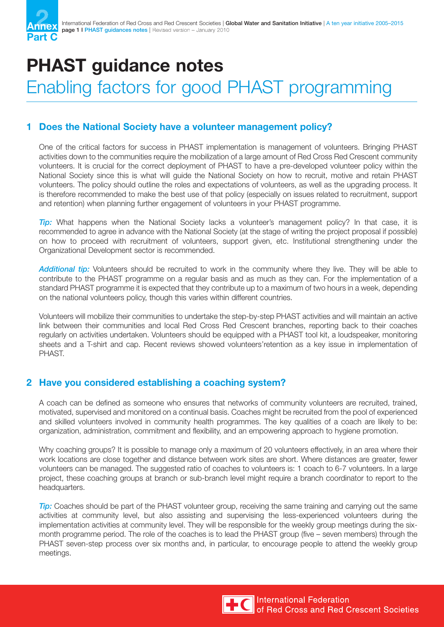

# **PHAST guidance notes**

## Enabling factors for good PHAST programming

#### **1 Does the National Society have a volunteer management policy?**

One of the critical factors for success in PHAST implementation is management of volunteers. Bringing PHAST activities down to the communities require the mobilization of a large amount of Red Cross Red Crescent community volunteers. It is crucial for the correct deployment of PHAST to have a pre-developed volunteer policy within the National Society since this is what will guide the National Society on how to recruit, motive and retain PHAST volunteers. The policy should outline the roles and expectations of volunteers, as well as the upgrading process. It is therefore recommended to make the best use of that policy (especially on issues related to recruitment, support and retention) when planning further engagement of volunteers in your PHAST programme.

*Tip:* What happens when the National Society lacks a volunteer's management policy? In that case, it is recommended to agree in advance with the National Society (at the stage of writing the project proposal if possible) on how to proceed with recruitment of volunteers, support given, etc. Institutional strengthening under the Organizational Development sector is recommended.

*Additional tip:* Volunteers should be recruited to work in the community where they live. They will be able to contribute to the PHAST programme on a regular basis and as much as they can. For the implementation of a standard PHAST programme it is expected that they contribute up to a maximum of two hours in a week, depending on the national volunteers policy, though this varies within different countries.

Volunteers will mobilize their communities to undertake the step-by-step PHAST activities and will maintain an active link between their communities and local Red Cross Red Crescent branches, reporting back to their coaches regularly on activities undertaken. Volunteers should be equipped with a PHAST tool kit, a loudspeaker, monitoring sheets and a T-shirt and cap. Recent reviews showed volunteers'retention as a key issue in implementation of PHAST.

#### **2 Have you considered establishing a coaching system?**

A coach can be defined as someone who ensures that networks of community volunteers are recruited, trained, motivated, supervised and monitored on a continual basis. Coaches might be recruited from the pool of experienced and skilled volunteers involved in community health programmes. The key qualities of a coach are likely to be: organization, administration, commitment and flexibility, and an empowering approach to hygiene promotion.

Why coaching groups? It is possible to manage only a maximum of 20 volunteers effectively, in an area where their work locations are close together and distance between work sites are short. Where distances are greater, fewer volunteers can be managed. The suggested ratio of coaches to volunteers is: 1 coach to 6-7 volunteers. In a large project, these coaching groups at branch or sub-branch level might require a branch coordinator to report to the headquarters.

*Tip:* Coaches should be part of the PHAST volunteer group, receiving the same training and carrying out the same activities at community level, but also assisting and supervising the less-experienced volunteers during the implementation activities at community level. They will be responsible for the weekly group meetings during the sixmonth programme period. The role of the coaches is to lead the PHAST group (five – seven members) through the PHAST seven-step process over six months and, in particular, to encourage people to attend the weekly group meetings.

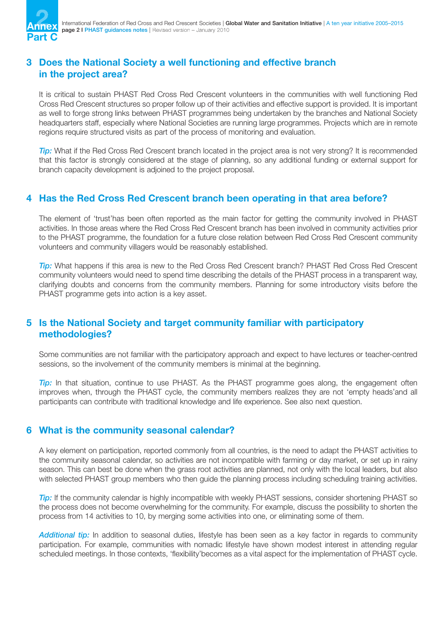

#### **3 Does the National Society a well functioning and effective branch in the project area?**

It is critical to sustain PHAST Red Cross Red Crescent volunteers in the communities with well functioning Red Cross Red Crescent structures so proper follow up of their activities and effective support is provided. It is important as well to forge strong links between PHAST programmes being undertaken by the branches and National Society headquarters staff, especially where National Societies are running large programmes. Projects which are in remote regions require structured visits as part of the process of monitoring and evaluation.

*Tip:* What if the Red Cross Red Crescent branch located in the project area is not very strong? It is recommended that this factor is strongly considered at the stage of planning, so any additional funding or external support for branch capacity development is adjoined to the project proposal.

#### **4 Has the Red Cross Red Crescent branch been operating in that area before?**

The element of 'trust'has been often reported as the main factor for getting the community involved in PHAST activities. In those areas where the Red Cross Red Crescent branch has been involved in community activities prior to the PHAST programme, the foundation for a future close relation between Red Cross Red Crescent community volunteers and community villagers would be reasonably established.

*Tip:* What happens if this area is new to the Red Cross Red Crescent branch? PHAST Red Cross Red Crescent community volunteers would need to spend time describing the details of the PHAST process in a transparent way, clarifying doubts and concerns from the community members. Planning for some introductory visits before the PHAST programme gets into action is a key asset.

#### **5 Is the National Society and target community familiar with participatory methodologies?**

Some communities are not familiar with the participatory approach and expect to have lectures or teacher-centred sessions, so the involvement of the community members is minimal at the beginning.

*Tip:* In that situation, continue to use PHAST. As the PHAST programme goes along, the engagement often improves when, through the PHAST cycle, the community members realizes they are not 'empty heads'and all participants can contribute with traditional knowledge and life experience. See also next question.

#### **6 What is the community seasonal calendar?**

A key element on participation, reported commonly from all countries, is the need to adapt the PHAST activities to the community seasonal calendar, so activities are not incompatible with farming or day market, or set up in rainy season. This can best be done when the grass root activities are planned, not only with the local leaders, but also with selected PHAST group members who then guide the planning process including scheduling training activities.

*Tip:* If the community calendar is highly incompatible with weekly PHAST sessions, consider shortening PHAST so the process does not become overwhelming for the community. For example, discuss the possibility to shorten the process from 14 activities to 10, by merging some activities into one, or eliminating some of them.

*Additional tip:* In addition to seasonal duties, lifestyle has been seen as a key factor in regards to community participation. For example, communities with nomadic lifestyle have shown modest interest in attending regular scheduled meetings. In those contexts, 'flexibility'becomes as a vital aspect for the implementation of PHAST cycle.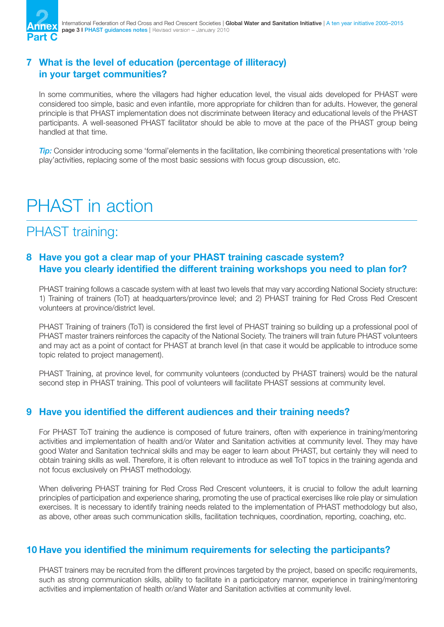

#### **7 What is the level of education (percentage of illiteracy) in your target communities?**

In some communities, where the villagers had higher education level, the visual aids developed for PHAST were considered too simple, basic and even infantile, more appropriate for children than for adults. However, the general principle is that PHAST implementation does not discriminate between literacy and educational levels of the PHAST participants. A well-seasoned PHAST facilitator should be able to move at the pace of the PHAST group being handled at that time.

*Tip:* Consider introducing some 'formal'elements in the facilitation, like combining theoretical presentations with 'role play'activities, replacing some of the most basic sessions with focus group discussion, etc.

## PHAST in action

## PHAST training:

#### **8 Have you got a clear map of your PHAST training cascade system? Have you clearly identified the different training workshops you need to plan for?**

PHAST training follows a cascade system with at least two levels that may vary according National Society structure: 1) Training of trainers (ToT) at headquarters/province level; and 2) PHAST training for Red Cross Red Crescent volunteers at province/district level.

PHAST Training of trainers (ToT) is considered the first level of PHAST training so building up a professional pool of PHAST master trainers reinforces the capacity of the National Society. The trainers will train future PHAST volunteers and may act as a point of contact for PHAST at branch level (in that case it would be applicable to introduce some topic related to project management).

PHAST Training, at province level, for community volunteers (conducted by PHAST trainers) would be the natural second step in PHAST training. This pool of volunteers will facilitate PHAST sessions at community level.

#### **9 Have you identified the different audiences and their training needs?**

For PHAST ToT training the audience is composed of future trainers, often with experience in training/mentoring activities and implementation of health and/or Water and Sanitation activities at community level. They may have good Water and Sanitation technical skills and may be eager to learn about PHAST, but certainly they will need to obtain training skills as well. Therefore, it is often relevant to introduce as well ToT topics in the training agenda and not focus exclusively on PHAST methodology.

When delivering PHAST training for Red Cross Red Crescent volunteers, it is crucial to follow the adult learning principles of participation and experience sharing, promoting the use of practical exercises like role play or simulation exercises. It is necessary to identify training needs related to the implementation of PHAST methodology but also, as above, other areas such communication skills, facilitation techniques, coordination, reporting, coaching, etc.

#### **10 Have you identified the minimum requirements for selecting the participants?**

PHAST trainers may be recruited from the different provinces targeted by the project, based on specific requirements, such as strong communication skills, ability to facilitate in a participatory manner, experience in training/mentoring activities and implementation of health or/and Water and Sanitation activities at community level.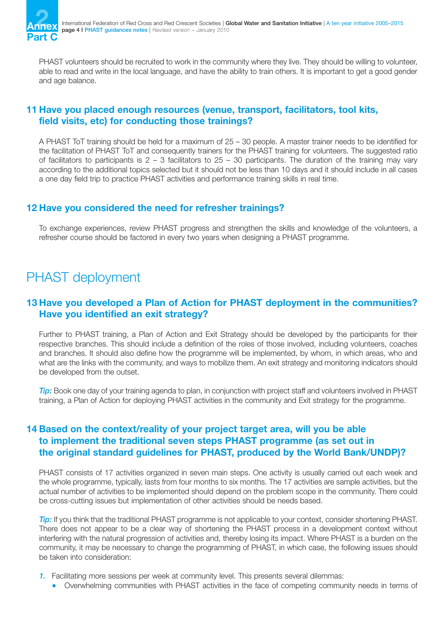

PHAST volunteers should be recruited to work in the community where they live. They should be willing to volunteer, able to read and write in the local language, and have the ability to train others. It is important to get a good gender and age balance.

#### **11 Have you placed enough resources (venue, transport, facilitators, tool kits, field visits, etc) for conducting those trainings?**

A PHAST ToT training should be held for a maximum of 25 – 30 people. A master trainer needs to be identified for the facilitation of PHAST ToT and consequently trainers for the PHAST training for volunteers. The suggested ratio of facilitators to participants is  $2 - 3$  facilitators to  $25 - 30$  participants. The duration of the training may vary according to the additional topics selected but it should not be less than 10 days and it should include in all cases a one day field trip to practice PHAST activities and performance training skills in real time.

#### **12 Have you considered the need for refresher trainings?**

To exchange experiences, review PHAST progress and strengthen the skills and knowledge of the volunteers, a refresher course should be factored in every two years when designing a PHAST programme.

## PHAST deployment

#### **13 Have you developed a Plan of Action for PHAST deployment in the communities? Have you identified an exit strategy?**

Further to PHAST training, a Plan of Action and Exit Strategy should be developed by the participants for their respective branches. This should include a definition of the roles of those involved, including volunteers, coaches and branches. It should also define how the programme will be implemented, by whom, in which areas, who and what are the links with the community, and ways to mobilize them. An exit strategy and monitoring indicators should be developed from the outset.

*Tip:* Book one day of your training agenda to plan, in conjunction with project staff and volunteers involved in PHAST training, a Plan of Action for deploying PHAST activities in the community and Exit strategy for the programme.

#### **14 Based on the context/reality of your project target area, will you be able to implement the traditional seven steps PHAST programme (as set out in the original standard guidelines for PHAST, produced by the World Bank/UNDP)?**

PHAST consists of 17 activities organized in seven main steps. One activity is usually carried out each week and the whole programme, typically, lasts from four months to six months. The 17 activities are sample activities, but the actual number of activities to be implemented should depend on the problem scope in the community. There could be cross-cutting issues but implementation of other activities should be needs based.

**Tip:** If you think that the traditional PHAST programme is not applicable to your context, consider shortening PHAST. There does not appear to be a clear way of shortening the PHAST process in a development context without interfering with the natural progression of activities and, thereby losing its impact. Where PHAST is a burden on the community, it may be necessary to change the programming of PHAST, in which case, the following issues should be taken into consideration:

- *1.* Facilitating more sessions per week at community level. This presents several dilemmas:
	- Overwhelming communities with PHAST activities in the face of competing community needs in terms of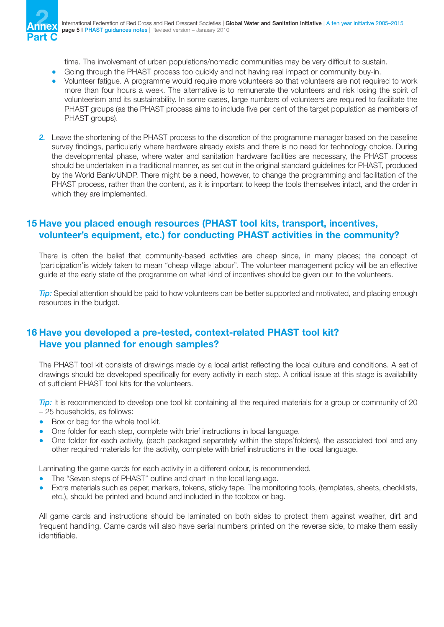

time. The involvement of urban populations/nomadic communities may be very difficult to sustain.

- Going through the PHAST process too quickly and not having real impact or community buy-in.
- Volunteer fatigue. A programme would require more volunteers so that volunteers are not required to work more than four hours a week. The alternative is to remunerate the volunteers and risk losing the spirit of volunteerism and its sustainability. In some cases, large numbers of volunteers are required to facilitate the PHAST groups (as the PHAST process aims to include five per cent of the target population as members of PHAST groups).
- *2.* Leave the shortening of the PHAST process to the discretion of the programme manager based on the baseline survey findings, particularly where hardware already exists and there is no need for technology choice. During the developmental phase, where water and sanitation hardware facilities are necessary, the PHAST process should be undertaken in a traditional manner, as set out in the original standard guidelines for PHAST, produced by the World Bank/UNDP. There might be a need, however, to change the programming and facilitation of the PHAST process, rather than the content, as it is important to keep the tools themselves intact, and the order in which they are implemented.

#### **15 Have you placed enough resources (PHAST tool kits, transport, incentives, volunteer's equipment, etc.) for conducting PHAST activities in the community?**

There is often the belief that community-based activities are cheap since, in many places; the concept of 'participation'is widely taken to mean "cheap village labour". The volunteer management policy will be an effective guide at the early state of the programme on what kind of incentives should be given out to the volunteers.

*Tip:* Special attention should be paid to how volunteers can be better supported and motivated, and placing enough resources in the budget.

#### **16 Have you developed a pre-tested, context-related PHAST tool kit? Have you planned for enough samples?**

The PHAST tool kit consists of drawings made by a local artist reflecting the local culture and conditions. A set of drawings should be developed specifically for every activity in each step. A critical issue at this stage is availability of sufficient PHAST tool kits for the volunteers.

*Tip:* It is recommended to develop one tool kit containing all the required materials for a group or community of 20 – 25 households, as follows:

- Box or bag for the whole tool kit.
- One folder for each step, complete with brief instructions in local language.
- One folder for each activity, (each packaged separately within the steps'folders), the associated tool and any other required materials for the activity, complete with brief instructions in the local language.

Laminating the game cards for each activity in a different colour, is recommended.

- The "Seven steps of PHAST" outline and chart in the local language.
- Extra materials such as paper, markers, tokens, sticky tape. The monitoring tools, (templates, sheets, checklists, etc.), should be printed and bound and included in the toolbox or bag.

All game cards and instructions should be laminated on both sides to protect them against weather, dirt and frequent handling. Game cards will also have serial numbers printed on the reverse side, to make them easily identifiable.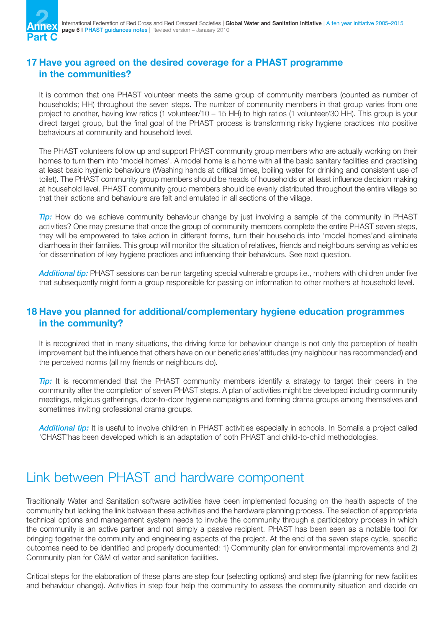

#### **17 Have you agreed on the desired coverage for a PHAST programme in the communities?**

It is common that one PHAST volunteer meets the same group of community members (counted as number of households; HH) throughout the seven steps. The number of community members in that group varies from one project to another, having low ratios (1 volunteer/10 – 15 HH) to high ratios (1 volunteer/30 HH). This group is your direct target group, but the final goal of the PHAST process is transforming risky hygiene practices into positive behaviours at community and household level.

The PHAST volunteers follow up and support PHAST community group members who are actually working on their homes to turn them into 'model homes'. A model home is a home with all the basic sanitary facilities and practising at least basic hygienic behaviours (Washing hands at critical times, boiling water for drinking and consistent use of toilet). The PHAST community group members should be heads of households or at least influence decision making at household level. PHAST community group members should be evenly distributed throughout the entire village so that their actions and behaviours are felt and emulated in all sections of the village.

*Tip:* How do we achieve community behaviour change by just involving a sample of the community in PHAST activities? One may presume that once the group of community members complete the entire PHAST seven steps, they will be empowered to take action in different forms, turn their households into 'model homes'and eliminate diarrhoea in their families. This group will monitor the situation of relatives, friends and neighbours serving as vehicles for dissemination of key hygiene practices and influencing their behaviours. See next question.

*Additional tip:* PHAST sessions can be run targeting special vulnerable groups i.e., mothers with children under five that subsequently might form a group responsible for passing on information to other mothers at household level.

#### **18 Have you planned for additional/complementary hygiene education programmes in the community?**

It is recognized that in many situations, the driving force for behaviour change is not only the perception of health improvement but the influence that others have on our beneficiaries'attitudes (my neighbour has recommended) and the perceived norms (all my friends or neighbours do).

**Tip:** It is recommended that the PHAST community members identify a strategy to target their peers in the community after the completion of seven PHAST steps. A plan of activities might be developed including community meetings, religious gatherings, door-to-door hygiene campaigns and forming drama groups among themselves and sometimes inviting professional drama groups.

*Additional tip:* It is useful to involve children in PHAST activities especially in schools. In Somalia a project called 'CHAST'has been developed which is an adaptation of both PHAST and child-to-child methodologies.

### Link between PHAST and hardware component

Traditionally Water and Sanitation software activities have been implemented focusing on the health aspects of the community but lacking the link between these activities and the hardware planning process. The selection of appropriate technical options and management system needs to involve the community through a participatory process in which the community is an active partner and not simply a passive recipient. PHAST has been seen as a notable tool for bringing together the community and engineering aspects of the project. At the end of the seven steps cycle, specific outcomes need to be identified and properly documented: 1) Community plan for environmental improvements and 2) Community plan for O&M of water and sanitation facilities.

Critical steps for the elaboration of these plans are step four (selecting options) and step five (planning for new facilities and behaviour change). Activities in step four help the community to assess the community situation and decide on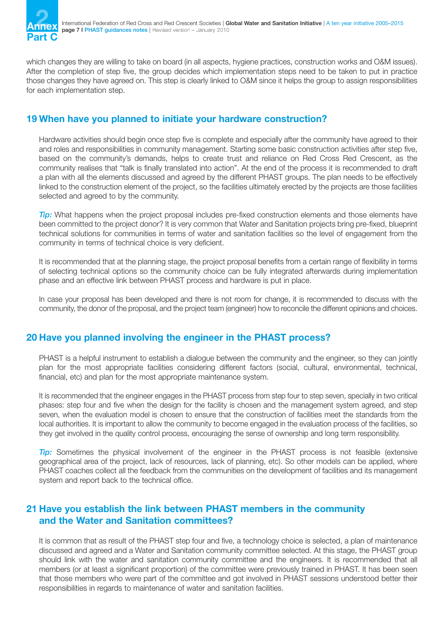

which changes they are willing to take on board (in all aspects, hygiene practices, construction works and O&M issues). After the completion of step five, the group decides which implementation steps need to be taken to put in practice those changes they have agreed on. This step is clearly linked to O&M since it helps the group to assign responsibilities for each implementation step.

#### **19 When have you planned to initiate your hardware construction?**

Hardware activities should begin once step five is complete and especially after the community have agreed to their and roles and responsibilities in community management. Starting some basic construction activities after step five, based on the community's demands, helps to create trust and reliance on Red Cross Red Crescent, as the community realises that "talk is finally translated into action". At the end of the process it is recommended to draft a plan with all the elements discussed and agreed by the different PHAST groups. The plan needs to be effectively linked to the construction element of the project, so the facilities ultimately erected by the projects are those facilities selected and agreed to by the community.

*Tip:* What happens when the project proposal includes pre-fixed construction elements and those elements have been committed to the project donor? It is very common that Water and Sanitation projects bring pre-fixed, blueprint technical solutions for communities in terms of water and sanitation facilities so the level of engagement from the community in terms of technical choice is very deficient.

It is recommended that at the planning stage, the project proposal benefits from a certain range of flexibility in terms of selecting technical options so the community choice can be fully integrated afterwards during implementation phase and an effective link between PHAST process and hardware is put in place.

In case your proposal has been developed and there is not room for change, it is recommended to discuss with the community, the donor of the proposal, and the project team (engineer) how to reconcile the different opinions and choices.

#### **20 Have you planned involving the engineer in the PHAST process?**

PHAST is a helpful instrument to establish a dialogue between the community and the engineer, so they can jointly plan for the most appropriate facilities considering different factors (social, cultural, environmental, technical, financial, etc) and plan for the most appropriate maintenance system.

It is recommended that the engineer engages in the PHAST process from step four to step seven, specially in two critical phases: step four and five when the design for the facility is chosen and the management system agreed, and step seven, when the evaluation model is chosen to ensure that the construction of facilities meet the standards from the local authorities. It is important to allow the community to become engaged in the evaluation process of the facilities, so they get involved in the quality control process, encouraging the sense of ownership and long term responsibility.

*Tip:* Sometimes the physical involvement of the engineer in the PHAST process is not feasible (extensive geographical area of the project, lack of resources, lack of planning, etc). So other models can be applied, where PHAST coaches collect all the feedback from the communities on the development of facilities and its management system and report back to the technical office.

#### **21 Have you establish the link between PHAST members in the community and the Water and Sanitation committees?**

It is common that as result of the PHAST step four and five, a technology choice is selected, a plan of maintenance discussed and agreed and a Water and Sanitation community committee selected. At this stage, the PHAST group should link with the water and sanitation community committee and the engineers. It is recommended that all members (or at least a significant proportion) of the committee were previously trained in PHAST. It has been seen that those members who were part of the committee and got involved in PHAST sessions understood better their responsibilities in regards to maintenance of water and sanitation facilities.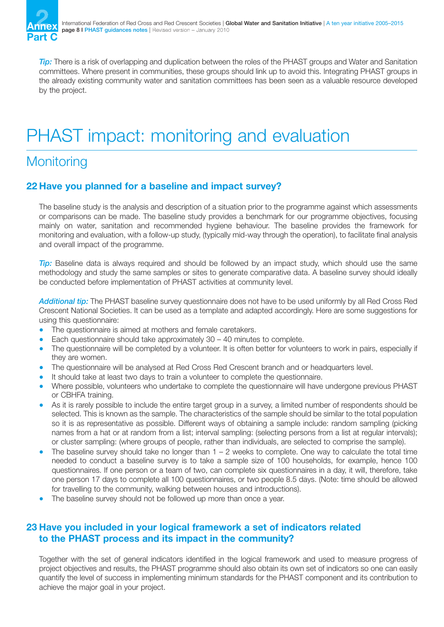

*Tip:* There is a risk of overlapping and duplication between the roles of the PHAST groups and Water and Sanitation committees. Where present in communities, these groups should link up to avoid this. Integrating PHAST groups in the already existing community water and sanitation committees has been seen as a valuable resource developed by the project.

## PHAST impact: monitoring and evaluation

## **Monitoring**

#### **22 Have you planned for a baseline and impact survey?**

The baseline study is the analysis and description of a situation prior to the programme against which assessments or comparisons can be made. The baseline study provides a benchmark for our programme objectives, focusing mainly on water, sanitation and recommended hygiene behaviour. The baseline provides the framework for monitoring and evaluation, with a follow-up study, (typically mid-way through the operation), to facilitate final analysis and overall impact of the programme.

*Tip:* Baseline data is always required and should be followed by an impact study, which should use the same methodology and study the same samples or sites to generate comparative data. A baseline survey should ideally be conducted before implementation of PHAST activities at community level.

*Additional tip:* The PHAST baseline survey questionnaire does not have to be used uniformly by all Red Cross Red Crescent National Societies. It can be used as a template and adapted accordingly. Here are some suggestions for using this questionnaire:

- The questionnaire is aimed at mothers and female caretakers.
- Each questionnaire should take approximately  $30 40$  minutes to complete.
- The questionnaire will be completed by a volunteer. It is often better for volunteers to work in pairs, especially if they are women.
- The questionnaire will be analysed at Red Cross Red Crescent branch and or headquarters level.
- It should take at least two days to train a volunteer to complete the questionnaire.
- Where possible, volunteers who undertake to complete the questionnaire will have undergone previous PHAST or CBHFA training.
- As it is rarely possible to include the entire target group in a survey, a limited number of respondents should be selected. This is known as the sample. The characteristics of the sample should be similar to the total population so it is as representative as possible. Different ways of obtaining a sample include: random sampling (picking names from a hat or at random from a list; interval sampling: (selecting persons from a list at regular intervals); or cluster sampling: (where groups of people, rather than individuals, are selected to comprise the sample).
- $\bullet$  The baseline survey should take no longer than  $1 2$  weeks to complete. One way to calculate the total time needed to conduct a baseline survey is to take a sample size of 100 households, for example, hence 100 questionnaires. If one person or a team of two, can complete six questionnaires in a day, it will, therefore, take one person 17 days to complete all 100 questionnaires, or two people 8.5 days. (Note: time should be allowed for travelling to the community, walking between houses and introductions).
- The baseline survey should not be followed up more than once a year.

#### **23 Have you included in your logical framework a set of indicators related to the PHAST process and its impact in the community?**

Together with the set of general indicators identified in the logical framework and used to measure progress of project objectives and results, the PHAST programme should also obtain its own set of indicators so one can easily quantify the level of success in implementing minimum standards for the PHAST component and its contribution to achieve the major goal in your project.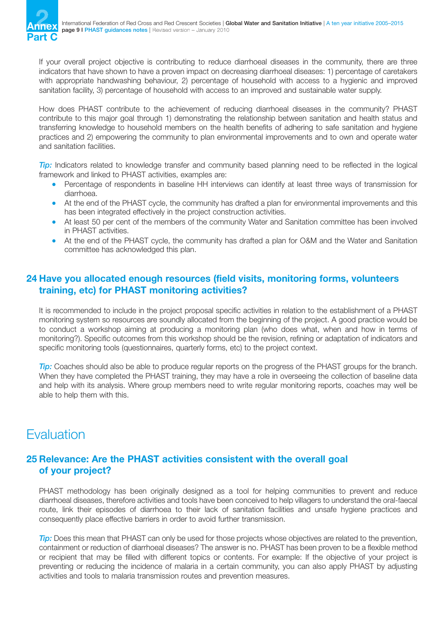If your overall project objective is contributing to reduce diarrhoeal diseases in the community, there are three indicators that have shown to have a proven impact on decreasing diarrhoeal diseases: 1) percentage of caretakers with appropriate handwashing behaviour, 2) percentage of household with access to a hygienic and improved sanitation facility, 3) percentage of household with access to an improved and sustainable water supply.

How does PHAST contribute to the achievement of reducing diarrhoeal diseases in the community? PHAST contribute to this major goal through 1) demonstrating the relationship between sanitation and health status and transferring knowledge to household members on the health benefits of adhering to safe sanitation and hygiene practices and 2) empowering the community to plan environmental improvements and to own and operate water and sanitation facilities.

*Tip:* Indicators related to knowledge transfer and community based planning need to be reflected in the logical framework and linked to PHAST activities, examples are:

- Percentage of respondents in baseline HH interviews can identify at least three ways of transmission for diarrhoea.
- At the end of the PHAST cycle, the community has drafted a plan for environmental improvements and this has been integrated effectively in the project construction activities.
- At least 50 per cent of the members of the community Water and Sanitation committee has been involved in PHAST activities.
- At the end of the PHAST cycle, the community has drafted a plan for O&M and the Water and Sanitation committee has acknowledged this plan.

#### **24 Have you allocated enough resources (field visits, monitoring forms, volunteers training, etc) for PHAST monitoring activities?**

It is recommended to include in the project proposal specific activities in relation to the establishment of a PHAST monitoring system so resources are soundly allocated from the beginning of the project. A good practice would be to conduct a workshop aiming at producing a monitoring plan (who does what, when and how in terms of monitoring?). Specific outcomes from this workshop should be the revision, refining or adaptation of indicators and specific monitoring tools (questionnaires, quarterly forms, etc) to the project context.

*Tip:* Coaches should also be able to produce regular reports on the progress of the PHAST groups for the branch. When they have completed the PHAST training, they may have a role in overseeing the collection of baseline data and help with its analysis. Where group members need to write regular monitoring reports, coaches may well be able to help them with this.

## Evaluation

#### **25 Relevance: Are the PHAST activities consistent with the overall goal of your project?**

PHAST methodology has been originally designed as a tool for helping communities to prevent and reduce diarrhoeal diseases, therefore activities and tools have been conceived to help villagers to understand the oral-faecal route, link their episodes of diarrhoea to their lack of sanitation facilities and unsafe hygiene practices and consequently place effective barriers in order to avoid further transmission.

*Tip:* Does this mean that PHAST can only be used for those projects whose objectives are related to the prevention, containment or reduction of diarrhoeal diseases? The answer is no. PHAST has been proven to be a flexible method or recipient that may be filled with different topics or contents. For example: If the objective of your project is preventing or reducing the incidence of malaria in a certain community, you can also apply PHAST by adjusting activities and tools to malaria transmission routes and prevention measures.